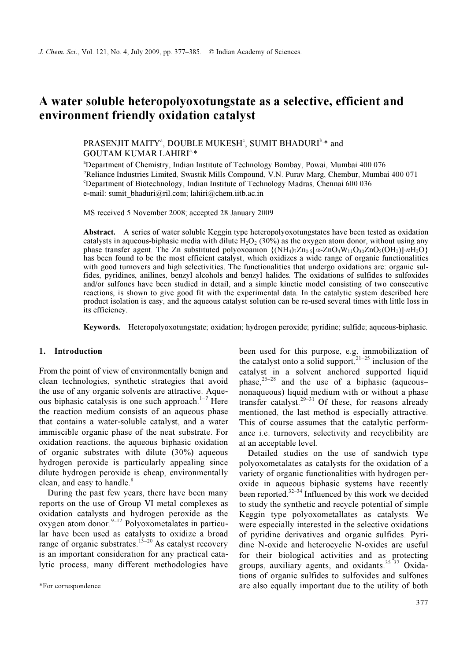# A water soluble heteropolyoxotungstate as a selective, efficient and environment friendly oxidation catalyst

# PRASENJIT MAITY<sup>a</sup>, DOUBLE MUKESH<sup>c</sup>, SUMIT BHADURI<sup>b,\*</sup> and GOUTAM KUMAR LAHIRI<sup>a,\*</sup>

a Department of Chemistry, Indian Institute of Technology Bombay, Powai, Mumbai 400 076 <sup>b</sup>Reliance Industries Limited, Swastik Mills Compound, V.N. Purav Marg, Chembur, Mumbai 400 071 c Department of Biotechnology, Indian Institute of Technology Madras, Chennai 600 036 e-mail: sumit\_bhaduri@ril.com; lahiri@chem.iitb.ac.in

MS received 5 November 2008; accepted 28 January 2009

Abstract. A series of water soluble Keggin type heteropolyoxotungstates have been tested as oxidation **Existract.** A series of water soluble Reggin type heteropolyoxoting states have been tested as oxidation catalysts in aqueous-biphasic media with dilute H<sub>2</sub>O<sub>2</sub> (30%) as the oxygen atom donor, without using any phase tr has been found to be the most efficient catalyst, which oxidizes a wide range of organic functionalities with good turnovers and high selectivities. The functionalities that undergo oxidations are: organic sulfides, pyridines, anilines, benzyl alcohols and benzyl halides. The oxidations of sulfides to sulfoxides and/or sulfones have been studied in detail, and a simple kinetic model consisting of two consecutive reactions, is shown to give good fit with the experimental data. In the catalytic system described here product isolation is easy, and the aqueous catalyst solution can be re-used several times with little loss in its efficiency.

Keywords. Heteropolyoxotungstate; oxidation; hydrogen peroxide; pyridine; sulfide; aqueous-biphasic.

# 1. Introduction

From the point of view of environmentally benign and clean technologies, synthetic strategies that avoid the use of any organic solvents are attractive. Aqueous biphasic catalysis is one such approach.<sup>1–7</sup> Here the reaction medium consists of an aqueous phase that contains a water-soluble catalyst, and a water immiscible organic phase of the neat substrate. For oxidation reactions, the aqueous biphasic oxidation of organic substrates with dilute (30%) aqueous hydrogen peroxide is particularly appealing since dilute hydrogen peroxide is cheap, environmentally clean, and easy to handle.<sup>8</sup>

 During the past few years, there have been many reports on the use of Group VI metal complexes as oxidation catalysts and hydrogen peroxide as the  $\alpha$ ygen atom donor.<sup>9–12</sup> Polyoxometalates in particular have been used as catalysts to oxidize a broad range of organic substrates.<sup>13–20</sup> As catalyst recovery is an important consideration for any practical catalytic process, many different methodologies have

been used for this purpose, e.g. immobilization of the catalyst onto a solid support, $21-25$  inclusion of the catalyst in a solvent anchored supported liquid phase,  $26-28$  and the use of a biphasic (aqueous– nonaqueous) liquid medium with or without a phase transfer catalyst.<sup>29–31</sup> Of these, for reasons already mentioned, the last method is especially attractive. This of course assumes that the catalytic performance i.e. turnovers, selectivity and recyclibility are at an acceptable level.

 Detailed studies on the use of sandwich type polyoxometalates as catalysts for the oxidation of a variety of organic functionalities with hydrogen peroxide in aqueous biphasic systems have recently been reported. $32-34$  Influenced by this work we decided to study the synthetic and recycle potential of simple Keggin type polyoxometallates as catalysts. We were especially interested in the selective oxidations of pyridine derivatives and organic sulfides. Pyridine N-oxide and heterocyclic N-oxides are useful for their biological activities and as protecting groups, auxiliary agents, and oxidants.<sup>35-37</sup> Oxidations of organic sulfides to sulfoxides and sulfones are also equally important due to the utility of both

<sup>\*</sup>For correspondence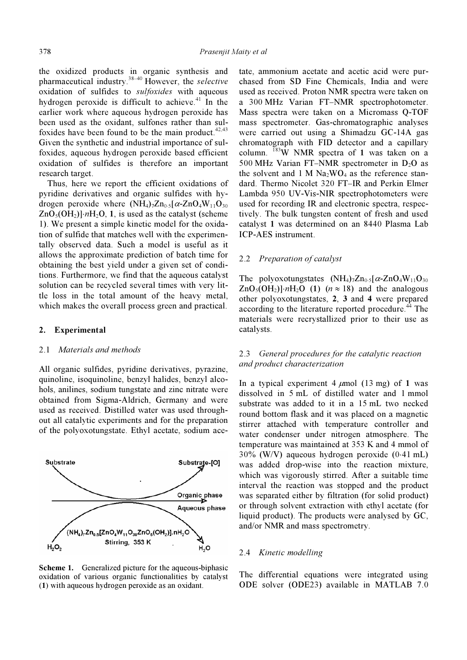the oxidized products in organic synthesis and pharmaceutical industry.38–40 However, the selective oxidation of sulfides to sulfoxides with aqueous hydrogen peroxide is difficult to achieve.<sup>41</sup> In the earlier work where aqueous hydrogen peroxide has been used as the oxidant, sulfones rather than sulfoxides have been found to be the main product.  $42,43$ Given the synthetic and industrial importance of sulfoxides, aqueous hydrogen peroxide based efficient oxidation of sulfides is therefore an important research target.

 Thus, here we report the efficient oxidations of pyridine derivatives and organic sulfides with hydrogen peroxide where  $(NH_4)$ <sub>7</sub>Zn<sub>0⋅5</sub>[ $\alpha$ -ZnO<sub>4</sub>W<sub>11</sub>O<sub>30</sub>  $ZnO<sub>5</sub>(OH<sub>2</sub>)\cdot nH<sub>2</sub>O$ , 1, is used as the catalyst (scheme 1). We present a simple kinetic model for the oxidation of sulfide that matches well with the experimentally observed data. Such a model is useful as it allows the approximate prediction of batch time for obtaining the best yield under a given set of conditions. Furthermore, we find that the aqueous catalyst solution can be recycled several times with very little loss in the total amount of the heavy metal, which makes the overall process green and practical.

# 2. Experimental

#### 2.1 Materials and methods

All organic sulfides, pyridine derivatives, pyrazine, quinoline, isoquinoline, benzyl halides, benzyl alcohols, anilines, sodium tungstate and zinc nitrate were obtained from Sigma-Aldrich, Germany and were used as received. Distilled water was used throughout all catalytic experiments and for the preparation of the polyoxotungstate. Ethyl acetate, sodium ace-



Scheme 1. Generalized picture for the aqueous-biphasic oxidation of various organic functionalities by catalyst (1) with aqueous hydrogen peroxide as an oxidant.

tate, ammonium acetate and acetic acid were purchased from SD Fine Chemicals, India and were used as received. Proton NMR spectra were taken on a 300 MHz Varian FT–NMR spectrophotometer. Mass spectra were taken on a Micromass Q-TOF mass spectrometer. Gas-chromatographic analyses were carried out using a Shimadzu GC-14A gas chromatograph with FID detector and a capillary column.  $183W$  NMR spectra of 1 was taken on a 500 MHz Varian FT–NMR spectrometer in  $D_2O$  as the solvent and 1 M  $Na<sub>2</sub>WO<sub>4</sub>$  as the reference standard. Thermo Nicolet 320 FT–IR and Perkin Elmer Lambda 950 UV-Vis-NIR spectrophotometers were used for recording IR and electronic spectra, respectively. The bulk tungsten content of fresh and used catalyst 1 was determined on an 8440 Plasma Lab ICP-AES instrument.

#### 2.2 Preparation of catalyst

The polyoxotungstates  $(NH_4)$ 7Zn<sub>0⋅5</sub>[ $\alpha$ -ZnO<sub>4</sub>W<sub>11</sub>O<sub>30</sub>  $ZnO<sub>5</sub>(OH<sub>2</sub>)\cdot nH<sub>2</sub>O$  (1)  $(n \approx 18)$  and the analogous other polyoxotungstates, 2, 3 and 4 were prepared according to the literature reported procedure.<sup>44</sup> The materials were recrystallized prior to their use as catalysts.

# 2.3 General procedures for the catalytic reaction and product characterization

In a typical experiment 4  $\mu$ mol (13 mg) of 1 was dissolved in 5 mL of distilled water and 1 mmol substrate was added to it in a 15 mL two necked round bottom flask and it was placed on a magnetic stirrer attached with temperature controller and water condenser under nitrogen atmosphere. The temperature was maintained at 353 K and 4 mmol of 30% (W/V) aqueous hydrogen peroxide (0⋅41 mL) was added drop-wise into the reaction mixture, which was vigorously stirred. After a suitable time interval the reaction was stopped and the product was separated either by filtration (for solid product) or through solvent extraction with ethyl acetate (for liquid product). The products were analysed by GC, and/or NMR and mass spectrometry.

# 2.4 Kinetic modelling

The differential equations were integrated using ODE solver (ODE23) available in MATLAB 7.0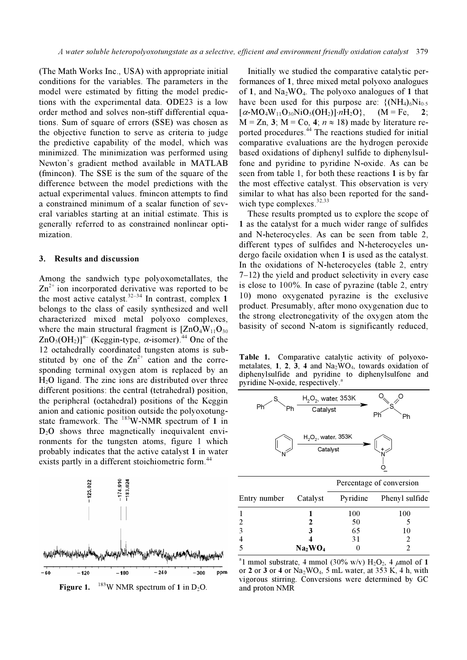(The Math Works Inc., USA) with appropriate initial conditions for the variables. The parameters in the model were estimated by fitting the model predictions with the experimental data. ODE23 is a low order method and solves non-stiff differential equations. Sum of square of errors (SSE) was chosen as the objective function to serve as criteria to judge the predictive capability of the model, which was minimized. The minimization was performed using Newton's gradient method available in MATLAB (fmincon). The SSE is the sum of the square of the difference between the model predictions with the actual experimental values. fmincon attempts to find a constrained minimum of a scalar function of several variables starting at an initial estimate. This is generally referred to as constrained nonlinear optimization.

# 3. Results and discussion

Among the sandwich type polyoxometallates, the  $\text{Zn}^{2+}$  ion incorporated derivative was reported to be the most active catalyst.<sup>32–34</sup> In contrast, complex 1 belongs to the class of easily synthesized and well characterized mixed metal polyoxo complexes, where the main structural fragment is  $[ZnO_4W_{11}O_{30}]$  $ZnO<sub>5</sub>(OH<sub>2</sub>)$ <sup>n–</sup> (Keggin-type,  $\alpha$ -isomer).<sup>44</sup> One of the 12 octahedrally coordinated tungsten atoms is substituted by one of the  $Zn^{2+}$  cation and the corresponding terminal oxygen atom is replaced by an  $H<sub>2</sub>O$  ligand. The zinc ions are distributed over three different positions: the central (tetrahedral) position, the peripheral (octahedral) positions of the Keggin anion and cationic position outside the polyoxotungstate framework. The  $^{183}$ W-NMR spectrum of 1 in  $D_2O$  shows three magnetically inequivalent environments for the tungsten atoms, figure 1 which probably indicates that the active catalyst 1 in water exists partly in a different stoichiometric form.<sup>44</sup>



 Initially we studied the comparative catalytic performances of 1, three mixed metal polyoxo analogues of 1, and  $Na_2WO_4$ . The polyoxo analogues of 1 that have been used for this purpose are:  $\{(\text{NH}_4)_{6}\}\$  $[\alpha-MO_4W_{11}O_{30}NiO_5(OH_2)]\cdot nH_2O\}$ ,  $(M = Fe, 2;$  $M = Zn$ , 3;  $M = Co$ , 4;  $n \approx 18$ ) made by literature reported procedures.<sup>44</sup> The reactions studied for initial comparative evaluations are the hydrogen peroxide based oxidations of diphenyl sulfide to diphenylsulfone and pyridine to pyridine N-oxide. As can be seen from table 1, for both these reactions 1 is by far the most effective catalyst. This observation is very similar to what has also been reported for the sandwich type complexes.<sup>32,33</sup>

 These results prompted us to explore the scope of 1 as the catalyst for a much wider range of sulfides and N-heterocycles. As can be seen from table 2, different types of sulfides and N-heterocycles undergo facile oxidation when 1 is used as the catalyst. In the oxidations of N-heterocycles (table 2, entry 7–12) the yield and product selectivity in every case is close to 100%. In case of pyrazine (table 2, entry 10) mono oxygenated pyrazine is the exclusive product. Presumably, after mono oxygenation due to the strong electronegativity of the oxygen atom the basisity of second N-atom is significantly reduced,

Table 1. Comparative catalytic activity of polyoxometalates,  $1, 2, 3, 4$  and  $Na<sub>2</sub>WO<sub>4</sub>$ , towards oxidation of diphenylsulfide and pyridine to diphenylsulfone and pyridine N-oxide, respectively.



| Entry number Catalyst |                                 | Pyridine | Phenyl sulfide |
|-----------------------|---------------------------------|----------|----------------|
|                       |                                 | 100      | 100            |
| $\mathcal{L}$         |                                 | 50       |                |
| ़                     | 3                               | 65       | 10             |
|                       |                                 | 31       |                |
|                       | Na <sub>2</sub> WO <sub>4</sub> |          |                |

<sup>a</sup>l mmol substrate, 4 mmol (30% w/v)  $H_2O_2$ , 4  $\mu$ mol of 1 or 2 or 3 or 4 or  $Na<sub>2</sub>WO<sub>4</sub>$ , 5 mL water, at 353 K, 4 h, with vigorous stirring. Conversions were determined by GC and proton NMR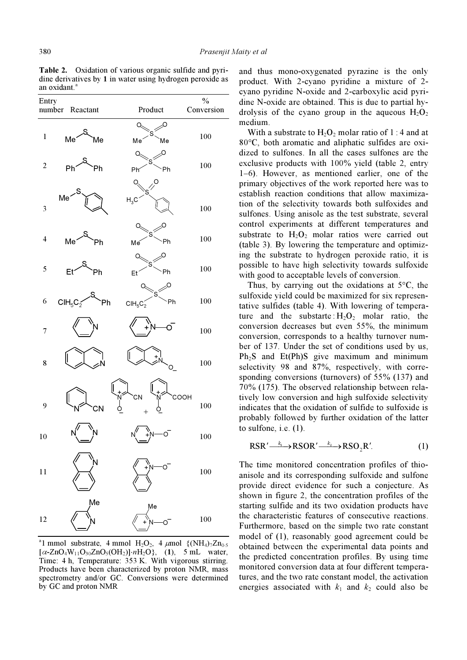Table 2. Oxidation of various organic sulfide and pyridine derivatives by 1 in water using hydrogen peroxide as an oxidant.<sup>a</sup>



<sup>a</sup>l mmol substrate, 4 mmol H<sub>2</sub>O<sub>2</sub>, 4  $\mu$ mol {(NH<sub>4</sub>)<sub>7</sub>Zn<sub>0</sub>.5</sub>  $[\alpha$ -ZnO<sub>4</sub>W<sub>11</sub>O<sub>30</sub>ZnO<sub>5</sub>(OH<sub>2</sub>)]⋅nH<sub>2</sub>O}, (1), 5 mL water, Time: 4 h, Temperature: 353 K. With vigorous stirring. Products have been characterized by proton NMR, mass spectrometry and/or GC. Conversions were determined by GC and proton NMR

and thus mono-oxygenated pyrazine is the only product. With 2-cyano pyridine a mixture of 2 cyano pyridine N-oxide and 2-carboxylic acid pyridine N-oxide are obtained. This is due to partial hydrolysis of the cyano group in the aqueous  $H_2O_2$ medium.

With a substrate to  $H_2O_2$  molar ratio of 1 : 4 and at 80°C, both aromatic and aliphatic sulfides are oxidized to sulfones. In all the cases sulfones are the exclusive products with 100% yield (table 2, entry 1–6). However, as mentioned earlier, one of the primary objectives of the work reported here was to establish reaction conditions that allow maximization of the selectivity towards both sulfoxides and sulfones. Using anisole as the test substrate, several control experiments at different temperatures and substrate to  $H_2O_2$  molar ratios were carried out (table 3). By lowering the temperature and optimizing the substrate to hydrogen peroxide ratio, it is possible to have high selectivity towards sulfoxide with good to acceptable levels of conversion.

Thus, by carrying out the oxidations at  $5^{\circ}$ C, the sulfoxide yield could be maximized for six representative sulfides (table 4). With lowering of temperature and the substarte  $H_2O_2$  molar ratio, the conversion decreases but even 55%, the minimum conversion, corresponds to a healthy turnover number of 137. Under the set of conditions used by us,  $Ph<sub>2</sub>S$  and Et(Ph)S give maximum and minimum selectivity 98 and 87%, respectively, with corresponding conversions (turnovers) of 55% (137) and 70% (175). The observed relationship between relatively low conversion and high sulfoxide selectivity indicates that the oxidation of sulfide to sulfoxide is probably followed by further oxidation of the latter to sulfone, i.e. (1).

$$
RSR' \xrightarrow{k_1} RSOR' \xrightarrow{k_2} RSO_2R'.
$$
 (1)

The time monitored concentration profiles of thioanisole and its corresponding sulfoxide and sulfone provide direct evidence for such a conjecture. As shown in figure 2, the concentration profiles of the starting sulfide and its two oxidation products have the characteristic features of consecutive reactions. Furthermore, based on the simple two rate constant model of (1), reasonably good agreement could be obtained between the experimental data points and the predicted concentration profiles. By using time monitored conversion data at four different temperatures, and the two rate constant model, the activation energies associated with  $k_1$  and  $k_2$  could also be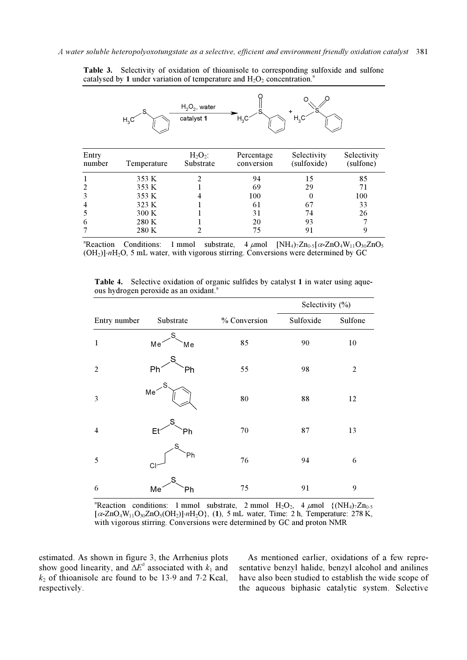|                 | $H_3C$      | $H_2O_2$ , water<br>catalyst 1 | $H_3C$                   | H <sub>3</sub> C           |                          |
|-----------------|-------------|--------------------------------|--------------------------|----------------------------|--------------------------|
| Entry<br>number | Temperature | $H_2O_2$ :<br>Substrate        | Percentage<br>conversion | Selectivity<br>(sulfoxide) | Selectivity<br>(sulfone) |
|                 | 353 K       | $\overline{2}$                 | 94                       | 15                         | 85                       |
| 2               | 353 K       |                                | 69                       | 29                         | 71                       |
| 3               | 353 K       | 4                              | 100                      | $\theta$                   | 100                      |
| 4               | 323 K       |                                | 61                       | 67                         | 33                       |
| 5               | 300 K       |                                | 31                       | 74                         | 26                       |
| 6               | 280 K       |                                | 20                       | 93                         | 7                        |
|                 | 280 K       | 2                              | 75                       | 91                         | 9                        |

Table 3. Selectivity of oxidation of thioanisole to corresponding sulfoxide and sulfone catalysed by 1 under variation of temperature and  $H_2O_2$  concentration.<sup>4</sup>

a<br>Reaction Conditions: 1 mmol substrate, 4 μmol  $[NH_4]_7 Z n_{0.5} [\alpha - ZnO_4 W_{11} O_{30} ZnO_5]$  $(OH<sub>2</sub>)\cdot nH<sub>2</sub>O$ , 5 mL water, with vigorous stirring. Conversions were determined by GC

|                |                      |           |              | Selectivity (%) |                |
|----------------|----------------------|-----------|--------------|-----------------|----------------|
| Entry number   |                      | Substrate | % Conversion | Sulfoxide       | Sulfone        |
| $\mathbf{1}$   | Me                   | S<br>Мe   | 85           | 90              | 10             |
| $\overline{2}$ | Ph                   | S<br>Ph   | 55           | 98              | $\mathfrak{2}$ |
| 3              | S<br>Me <sup>®</sup> |           | 80           | 88              | 12             |
| $\overline{4}$ | Et                   | ς<br>Ph   | 70           | 87              | 13             |
| 5              | CI                   | S<br>Ph   | 76           | 94              | 6              |
| 6              | Me                   | ς<br>Ph   | 75           | 91              | 9              |

Table 4. Selective oxidation of organic sulfides by catalyst 1 in water using aqueous hydrogen peroxide as an oxidant.<sup>a</sup>

<sup>a</sup>Reaction conditions: 1 mmol substrate, 2 mmol H<sub>2</sub>O<sub>2</sub>, 4 μmol {(NH<sub>4</sub>)7Zn<sub>0</sub>.5</sub>  $[\alpha$ -ZnO<sub>4</sub>W<sub>11</sub>O<sub>30</sub>ZnO<sub>5</sub>(OH<sub>2</sub>)]⋅nH<sub>2</sub>O}, (1), 5 mL water, Time: 2 h, Temperature: 278 K, with vigorous stirring. Conversions were determined by GC and proton NMR

estimated. As shown in figure 3, the Arrhenius plots show good linearity, and  $\Delta E^{\#}$  associated with  $k_1$  and  $k_2$  of thioanisole are found to be 13⋅9 and 7⋅2 Kcal, respectively.

 As mentioned earlier, oxidations of a few representative benzyl halide, benzyl alcohol and anilines have also been studied to establish the wide scope of the aqueous biphasic catalytic system. Selective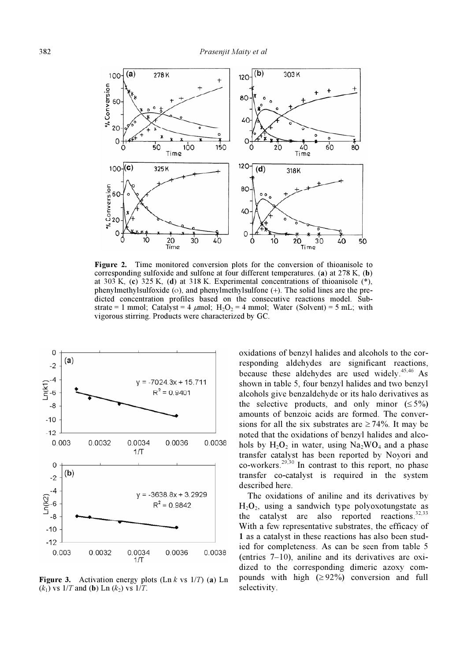

Figure 2. Time monitored conversion plots for the conversion of thioanisole to corresponding sulfoxide and sulfone at four different temperatures. (a) at 278 K, (b) at 303 K, (c) 325 K, (d) at 318 K. Experimental concentrations of thioanisole  $(*)$ , phenylmethylsulfoxide (ο), and phenylmethylsulfone (+). The solid lines are the predicted concentration profiles based on the consecutive reactions model. Substrate = 1 mmol; Catalyst = 4  $\mu$ mol; H<sub>2</sub>O<sub>2</sub> = 4 mmol; Water (Solvent) = 5 mL; with vigorous stirring. Products were characterized by GC.



**Figure 3.** Activation energy plots  $(Ln \nk x s \n1/T)$  (a) Ln  $(k_1)$  vs  $1/T$  and (b) Ln  $(k_2)$  vs  $1/T$ .

oxidations of benzyl halides and alcohols to the corresponding aldehydes are significant reactions, because these aldehydes are used widely.<sup>45,46</sup> As shown in table 5, four benzyl halides and two benzyl alcohols give benzaldehyde or its halo derivatives as the selective products, and only minor  $( \leq 5\%)$ amounts of benzoic acids are formed. The conversions for all the six substrates are  $\geq 74\%$ . It may be noted that the oxidations of benzyl halides and alcohols by  $H_2O_2$  in water, using Na<sub>2</sub>WO<sub>4</sub> and a phase transfer catalyst has been reported by Noyori and co-workers.<sup>29,30</sup> In contrast to this report, no phase transfer co-catalyst is required in the system described here.

 The oxidations of aniline and its derivatives by  $H_2O_2$ , using a sandwich type polyoxotungstate as the catalyst are also reported reactions. $32,33$ With a few representative substrates, the efficacy of 1 as a catalyst in these reactions has also been studied for completeness. As can be seen from table 5 (entries 7–10), aniline and its derivatives are oxidized to the corresponding dimeric azoxy compounds with high  $(≥ 92%)$  conversion and full selectivity.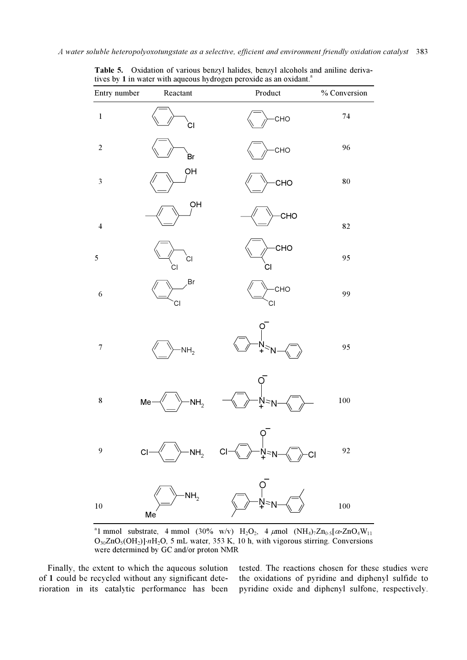| Entry number            | Reactant              | Product                                                                                                                                                    | % Conversion |
|-------------------------|-----------------------|------------------------------------------------------------------------------------------------------------------------------------------------------------|--------------|
| $\mathbf 1$             | сı                    | CHO                                                                                                                                                        | 74           |
| $\boldsymbol{2}$        | .<br>Br               | CHO                                                                                                                                                        | 96           |
| $\sqrt{3}$              | OH                    | CHO                                                                                                                                                        | 80           |
| $\overline{\mathbf{4}}$ | OH                    | <b>CHO</b>                                                                                                                                                 | 82           |
| 5                       | <b>CI</b><br>СI       | CHO<br>СI                                                                                                                                                  | 95           |
| 6                       | Br<br>СI              | CHO<br>CI                                                                                                                                                  | 99           |
| $\tau$                  | NH <sub>2</sub>       |                                                                                                                                                            | 95           |
| $\bf 8$                 | Me<br>NH <sub>2</sub> |                                                                                                                                                            | 100          |
| 9                       |                       | Q<br>$Cl \longrightarrow NH_2$ $Cl \longrightarrow N^2N \longrightarrow Cl$                                                                                | 92           |
| 10                      | Me                    | $\begin{array}{ccc} & & & \circ \\ \hline & & \circ \\ \hline & & \circ \\ \hline & & \circ \\ \hline & & \circ \\ \hline & & \circ \\ \hline \end{array}$ | 100          |

Table 5. Oxidation of various benzyl halides, benzyl alcohols and aniline derivatives by 1 in water with aqueous hydrogen peroxide as an oxidant.<sup>a</sup>

<sup>a</sup>l mmol substrate, 4 mmol (30% w/v) H<sub>2</sub>O<sub>2</sub>, 4 μmol (NH<sub>4</sub>)<sub>7</sub>Zn<sub>0⋅5</sub>[ $\alpha$ -ZnO<sub>4</sub>W<sub>11</sub> O<sub>30</sub>ZnO<sub>5</sub>(OH<sub>2</sub>)]⋅nH<sub>2</sub>O, 5 mL water, 353 K, 10 h, with vigorous stirring. Conversions were determined by GC and/or proton NMR

 Finally, the extent to which the aqueous solution of 1 could be recycled without any significant deterioration in its catalytic performance has been tested. The reactions chosen for these studies were the oxidations of pyridine and diphenyl sulfide to pyridine oxide and diphenyl sulfone, respectively.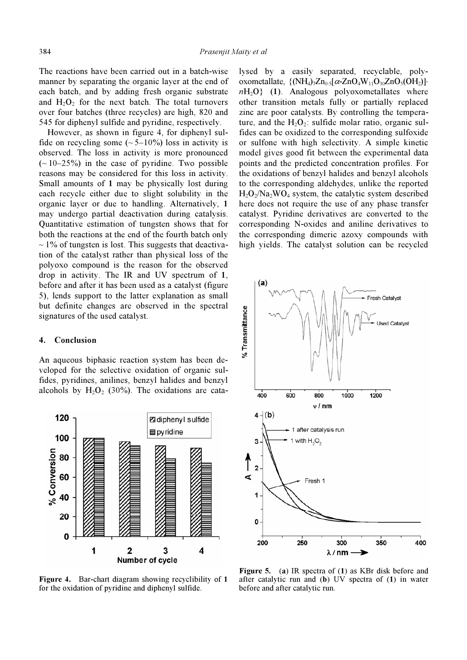The reactions have been carried out in a batch-wise manner by separating the organic layer at the end of each batch, and by adding fresh organic substrate and  $H_2O_2$  for the next batch. The total turnovers over four batches (three recycles) are high, 820 and 545 for diphenyl sulfide and pyridine, respectively.

 However, as shown in figure 4, for diphenyl sulfide on recycling some  $({\sim}5{-}10\%)$  loss in activity is observed. The loss in activity is more pronounced  $(-10-25%)$  in the case of pyridine. Two possible reasons may be considered for this loss in activity. Small amounts of 1 may be physically lost during each recycle either due to slight solubility in the organic layer or due to handling. Alternatively, 1 may undergo partial deactivation during catalysis. Quantitative estimation of tungsten shows that for both the reactions at the end of the fourth batch only  $\sim$  1% of tungsten is lost. This suggests that deactivation of the catalyst rather than physical loss of the polyoxo compound is the reason for the observed drop in activity. The IR and UV spectrum of 1, before and after it has been used as a catalyst (figure 5), lends support to the latter explanation as small but definite changes are observed in the spectral signatures of the used catalyst.

#### 4. Conclusion

An aqueous biphasic reaction system has been developed for the selective oxidation of organic sulfides, pyridines, anilines, benzyl halides and benzyl alcohols by  $H_2O_2$  (30%). The oxidations are cata-



Figure 4. Bar-chart diagram showing recyclibility of 1 for the oxidation of pyridine and diphenyl sulfide.

lysed by a easily separated, recyclable, polyoxometallate,  $\{(\text{NH}_4)_7\text{Zn}_{0.5}[\alpha\text{-}ZnO_4\text{W}_{11}\text{O}_{30}\text{ZnO}_5(\text{OH}_2)]\}\$  $nH_2O$  (1). Analogous polyoxometallates where other transition metals fully or partially replaced zinc are poor catalysts. By controlling the temperature, and the  $H_2O_2$ : sulfide molar ratio, organic sulfides can be oxidized to the corresponding sulfoxide or sulfone with high selectivity. A simple kinetic model gives good fit between the experimental data points and the predicted concentration profiles. For the oxidations of benzyl halides and benzyl alcohols to the corresponding aldehydes, unlike the reported  $H_2O_2/Na_2WO_4$  system, the catalytic system described here does not require the use of any phase transfer catalyst. Pyridine derivatives are converted to the corresponding N-oxides and aniline derivatives to the corresponding dimeric azoxy compounds with high yields. The catalyst solution can be recycled



Figure 5. (a) IR spectra of (1) as KBr disk before and after catalytic run and (b) UV spectra of (1) in water before and after catalytic run.